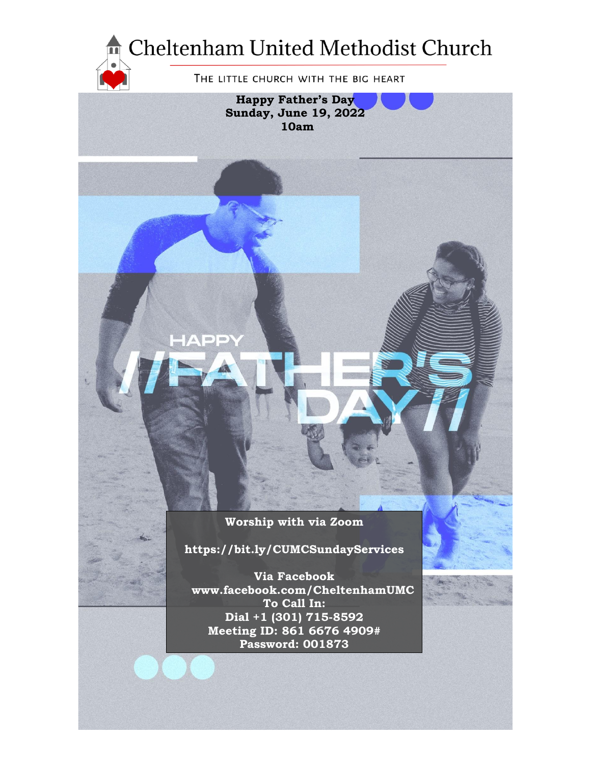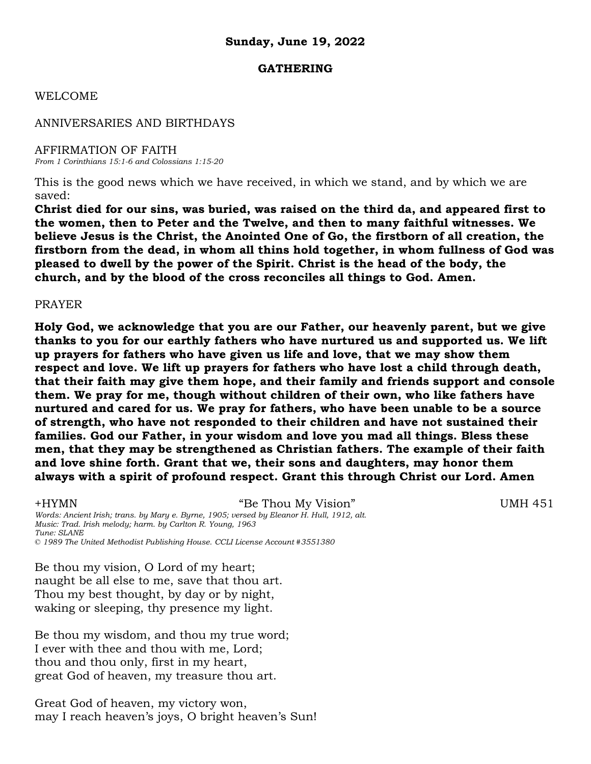### **GATHERING**

### WELCOME

### ANNIVERSARIES AND BIRTHDAYS

AFFIRMATION OF FAITH *From 1 Corinthians 15:1-6 and Colossians 1:15-20*

This is the good news which we have received, in which we stand, and by which we are saved:

**Christ died for our sins, was buried, was raised on the third da, and appeared first to the women, then to Peter and the Twelve, and then to many faithful witnesses. We believe Jesus is the Christ, the Anointed One of Go, the firstborn of all creation, the firstborn from the dead, in whom all thins hold together, in whom fullness of God was pleased to dwell by the power of the Spirit. Christ is the head of the body, the church, and by the blood of the cross reconciles all things to God. Amen.**

### PRAYER

**Holy God, we acknowledge that you are our Father, our heavenly parent, but we give thanks to you for our earthly fathers who have nurtured us and supported us. We lift up prayers for fathers who have given us life and love, that we may show them respect and love. We lift up prayers for fathers who have lost a child through death, that their faith may give them hope, and their family and friends support and console them. We pray for me, though without children of their own, who like fathers have nurtured and cared for us. We pray for fathers, who have been unable to be a source of strength, who have not responded to their children and have not sustained their families. God our Father, in your wisdom and love you mad all things. Bless these men, that they may be strengthened as Christian fathers. The example of their faith and love shine forth. Grant that we, their sons and daughters, may honor them always with a spirit of profound respect. Grant this through Christ our Lord. Amen**

+HYMN "Be Thou My Vision" UMH 451 *Words: Ancient Irish; trans. by Mary e. Byrne, 1905; versed by Eleanor H. Hull, 1912, alt. Music: Trad. Irish melody; harm. by Carlton R. Young, 1963 Tune: SLANE © 1989 The United Methodist Publishing House. CCLI License Account #3551380*

Be thou my vision, O Lord of my heart; naught be all else to me, save that thou art. Thou my best thought, by day or by night, waking or sleeping, thy presence my light.

Be thou my wisdom, and thou my true word; I ever with thee and thou with me, Lord; thou and thou only, first in my heart, great God of heaven, my treasure thou art.

Great God of heaven, my victory won, may I reach heaven's joys, O bright heaven's Sun!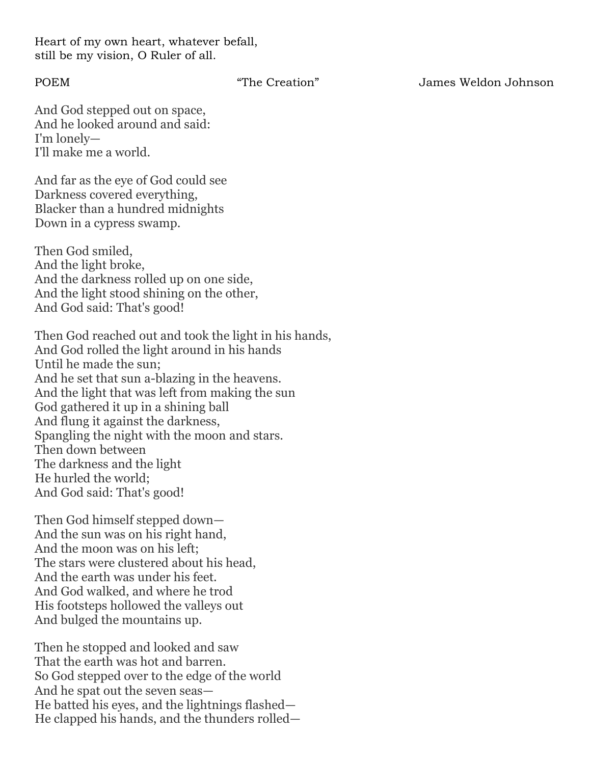Heart of my own heart, whatever befall, still be my vision, O Ruler of all.

POEM "The Creation" James Weldon Johnson

And God stepped out on space, And he looked around and said: I'm lonely— I'll make me a world.

And far as the eye of God could see Darkness covered everything, Blacker than a hundred midnights Down in a cypress swamp.

Then God smiled, And the light broke, And the darkness rolled up on one side, And the light stood shining on the other, And God said: That's good!

Then God reached out and took the light in his hands, And God rolled the light around in his hands Until he made the sun; And he set that sun a-blazing in the heavens. And the light that was left from making the sun God gathered it up in a shining ball And flung it against the darkness, Spangling the night with the moon and stars. Then down between The darkness and the light He hurled the world; And God said: That's good!

Then God himself stepped down— And the sun was on his right hand, And the moon was on his left; The stars were clustered about his head, And the earth was under his feet. And God walked, and where he trod His footsteps hollowed the valleys out And bulged the mountains up.

Then he stopped and looked and saw That the earth was hot and barren. So God stepped over to the edge of the world And he spat out the seven seas— He batted his eyes, and the lightnings flashed— He clapped his hands, and the thunders rolled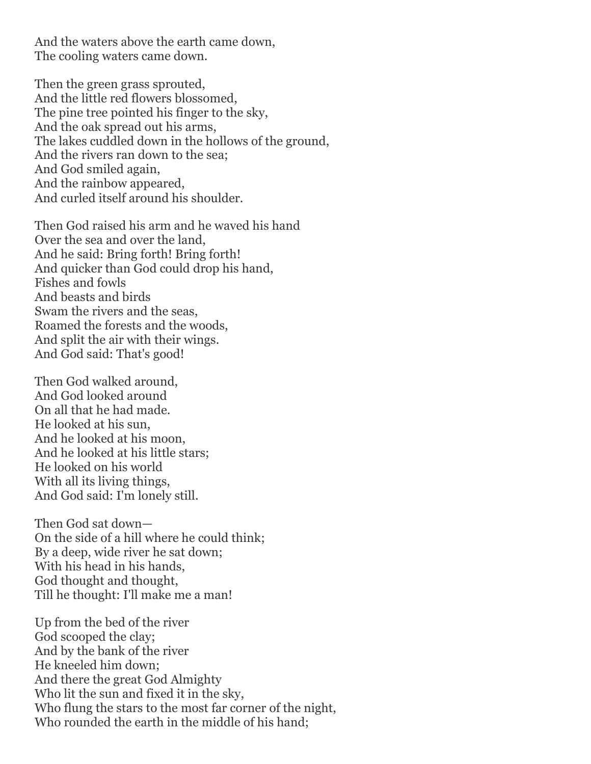And the waters above the earth came down, The cooling waters came down.

Then the green grass sprouted, And the little red flowers blossomed, The pine tree pointed his finger to the sky, And the oak spread out his arms, The lakes cuddled down in the hollows of the ground, And the rivers ran down to the sea; And God smiled again, And the rainbow appeared, And curled itself around his shoulder.

Then God raised his arm and he waved his hand Over the sea and over the land, And he said: Bring forth! Bring forth! And quicker than God could drop his hand, Fishes and fowls And beasts and birds Swam the rivers and the seas, Roamed the forests and the woods, And split the air with their wings. And God said: That's good!

Then God walked around, And God looked around On all that he had made. He looked at his sun, And he looked at his moon, And he looked at his little stars; He looked on his world With all its living things, And God said: I'm lonely still.

Then God sat down— On the side of a hill where he could think; By a deep, wide river he sat down; With his head in his hands, God thought and thought, Till he thought: I'll make me a man!

Up from the bed of the river God scooped the clay; And by the bank of the river He kneeled him down; And there the great God Almighty Who lit the sun and fixed it in the sky, Who flung the stars to the most far corner of the night, Who rounded the earth in the middle of his hand;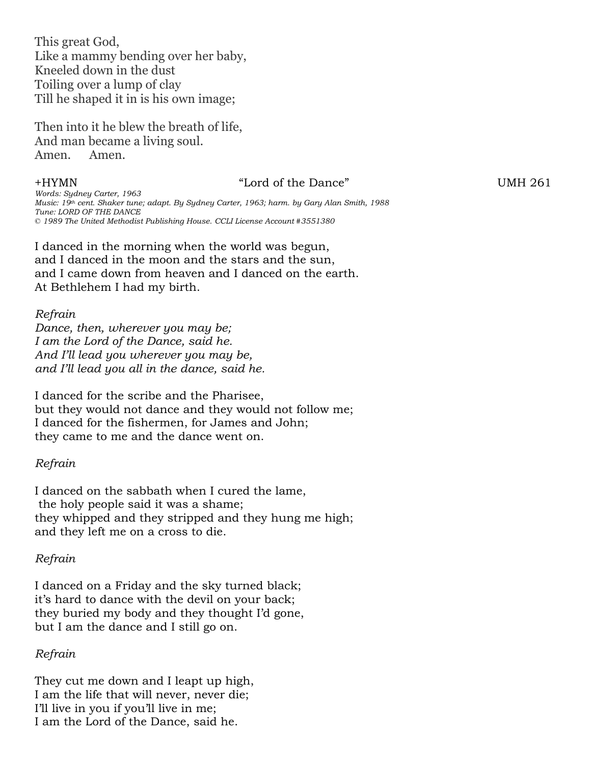This great God, Like a mammy bending over her baby, Kneeled down in the dust Toiling over a lump of clay Till he shaped it in is his own image;

Then into it he blew the breath of life, And man became a living soul. Amen. Amen.

### +HYMN "Lord of the Dance" UMH 261

*Words: Sydney Carter, 1963 Music: 19th cent. Shaker tune; adapt. By Sydney Carter, 1963; harm. by Gary Alan Smith, 1988 Tune: LORD OF THE DANCE © 1989 The United Methodist Publishing House. CCLI License Account #3551380*

I danced in the morning when the world was begun, and I danced in the moon and the stars and the sun, and I came down from heaven and I danced on the earth. At Bethlehem I had my birth.

### *Refrain*

*Dance, then, wherever you may be; I am the Lord of the Dance, said he. And I'll lead you wherever you may be, and I'll lead you all in the dance, said he.*

I danced for the scribe and the Pharisee, but they would not dance and they would not follow me; I danced for the fishermen, for James and John; they came to me and the dance went on.

### *Refrain*

I danced on the sabbath when I cured the lame, the holy people said it was a shame; they whipped and they stripped and they hung me high; and they left me on a cross to die.

### *Refrain*

I danced on a Friday and the sky turned black; it's hard to dance with the devil on your back; they buried my body and they thought I'd gone, but I am the dance and I still go on.

### *Refrain*

They cut me down and I leapt up high, I am the life that will never, never die; I'll live in you if you'll live in me; I am the Lord of the Dance, said he.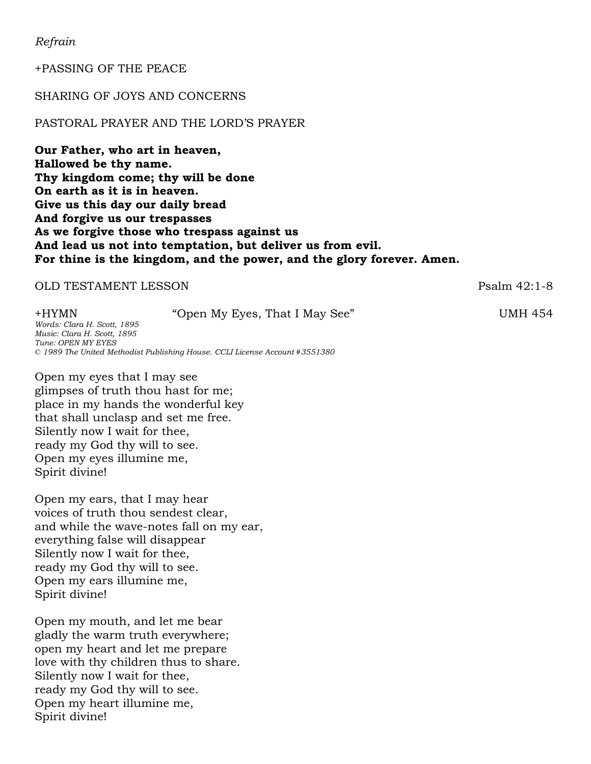*Refrain*

+PASSING OF THE PEACE

### SHARING OF JOYS AND CONCERNS

### PASTORAL PRAYER AND THE LORD'S PRAYER

**Our Father, who art in heaven, Hallowed be thy name. Thy kingdom come; thy will be done On earth as it is in heaven. Give us this day our daily bread And forgive us our trespasses As we forgive those who trespass against us And lead us not into temptation, but deliver us from evil. For thine is the kingdom, and the power, and the glory forever. Amen.**

### OLD TESTAMENT LESSON Psalm 42:1-8

+HYMN "Open My Eyes, That I May See" UMH 454 *Words: Clara H. Scott, 1895 Music: Clara H. Scott, 1895 Tune: OPEN MY EYES © 1989 The United Methodist Publishing House. CCLI License Account #3551380*

Open my eyes that I may see glimpses of truth thou hast for me; place in my hands the wonderful key that shall unclasp and set me free. Silently now I wait for thee, ready my God thy will to see. Open my eyes illumine me, Spirit divine!

Open my ears, that I may hear voices of truth thou sendest clear, and while the wave-notes fall on my ear, everything false will disappear Silently now I wait for thee, ready my God thy will to see. Open my ears illumine me, Spirit divine!

Open my mouth, and let me bear gladly the warm truth everywhere; open my heart and let me prepare love with thy children thus to share. Silently now I wait for thee, ready my God thy will to see. Open my heart illumine me, Spirit divine!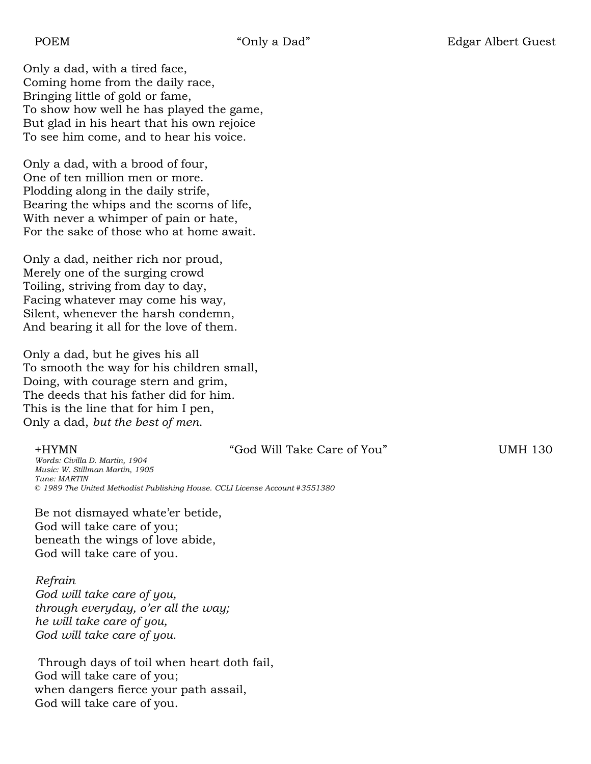Only a dad, with a tired face, Coming home from the daily race, Bringing little of gold or fame, To show how well he has played the game, But glad in his heart that his own rejoice To see him come, and to hear his voice.

Only a dad, with a brood of four, One of ten million men or more. Plodding along in the daily strife, Bearing the whips and the scorns of life, With never a whimper of pain or hate, For the sake of those who at home await.

Only a dad, neither rich nor proud, Merely one of the surging crowd Toiling, striving from day to day, Facing whatever may come his way, Silent, whenever the harsh condemn, And bearing it all for the love of them.

Only a dad, but he gives his all To smooth the way for his children small, Doing, with courage stern and grim, The deeds that his father did for him. This is the line that for him I pen, Only a dad, *but the best of men*.

+HYMN "God Will Take Care of You" UMH 130

*Words: Civilla D. Martin, 1904 Music: W. Stillman Martin, 1905 Tune: MARTIN © 1989 The United Methodist Publishing House. CCLI License Account #3551380*

Be not dismayed whate'er betide, God will take care of you; beneath the wings of love abide, God will take care of you.

*Refrain*

*God will take care of you, through everyday, o'er all the way; he will take care of you, God will take care of you.* 

Through days of toil when heart doth fail, God will take care of you; when dangers fierce your path assail, God will take care of you.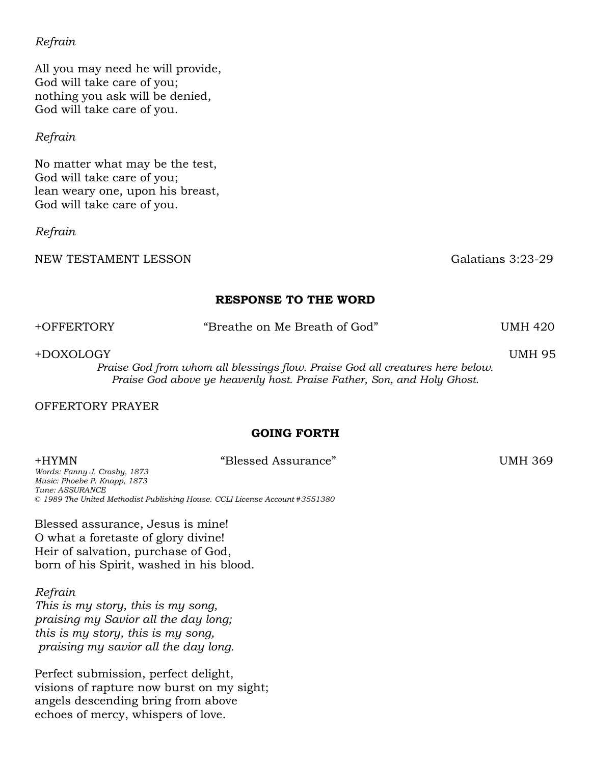### *Refrain*

All you may need he will provide, God will take care of you; nothing you ask will be denied, God will take care of you.

### *Refrain*

No matter what may be the test, God will take care of you; lean weary one, upon his breast, God will take care of you.

### *Refrain*

NEW TESTAMENT LESSON Galatians 3:23-29

### **RESPONSE TO THE WORD**

| +OFFERTORY | "Breathe on Me Breath of God"                                                 | UMH 420       |
|------------|-------------------------------------------------------------------------------|---------------|
| +DOXOLOGY  |                                                                               | <b>UMH 95</b> |
|            | Praise God from whom all blessings flow. Praise God all creatures here below. |               |
|            | Praise God above ye heavenly host. Praise Father, Son, and Holy Ghost.        |               |

### OFFERTORY PRAYER

### **GOING FORTH**

### +HYMN "Blessed Assurance" UMH 369

*Words: Fanny J. Crosby, 1873 Music: Phoebe P. Knapp, 1873 Tune: ASSURANCE © 1989 The United Methodist Publishing House. CCLI License Account #3551380*

Blessed assurance, Jesus is mine! O what a foretaste of glory divine! Heir of salvation, purchase of God, born of his Spirit, washed in his blood.

### *Refrain*

*This is my story, this is my song, praising my Savior all the day long; this is my story, this is my song, praising my savior all the day long.* 

Perfect submission, perfect delight, visions of rapture now burst on my sight; angels descending bring from above echoes of mercy, whispers of love.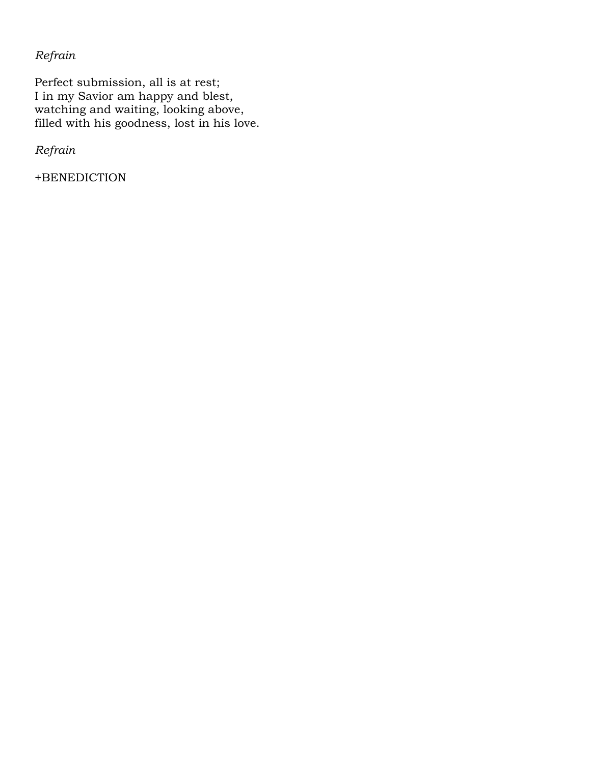*Refrain*

Perfect submission, all is at rest; I in my Savior am happy and blest, watching and waiting, looking above, filled with his goodness, lost in his love.

*Refrain*

+BENEDICTION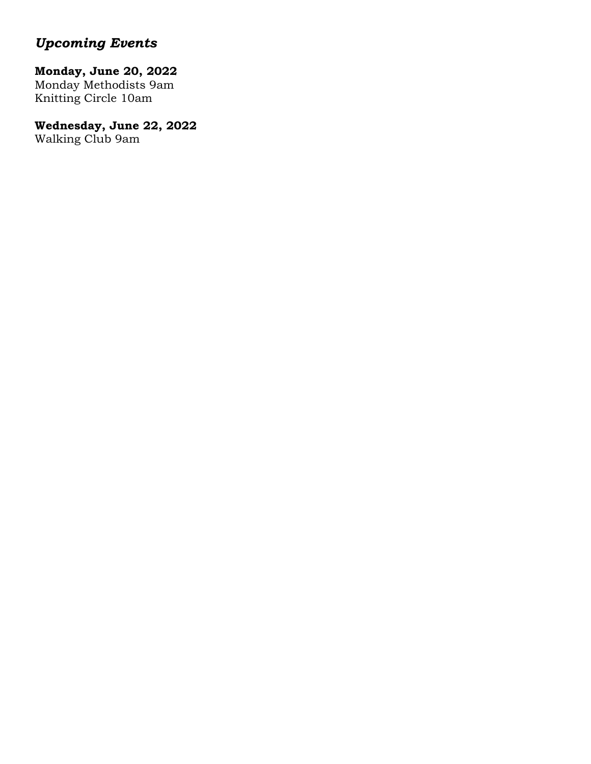# *Upcoming Events*

# **Monday, June 20, 2022**

Monday Methodists 9am Knitting Circle 10am

# **Wednesday, June 22, 2022**

Walking Club 9am